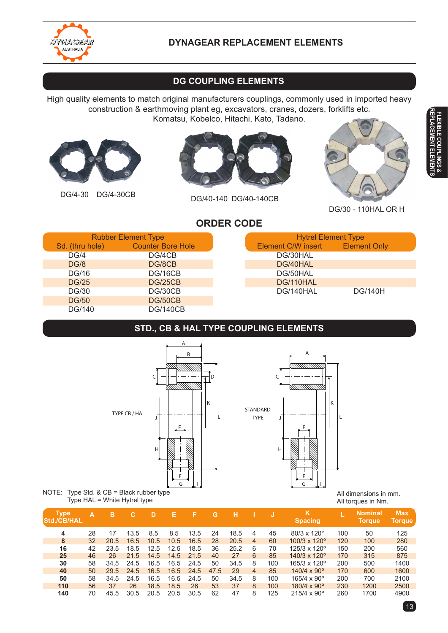

## **DYNAGEAR REPLACEMENT ELEMENTS**

# **dg coupling elements**

High quality elements to match original manufacturers couplings, commonly used in imported heavy construction & earthmoving plant eg, excavators, cranes, dozers, forklifts etc. Komatsu, Kobelco, Hitachi, Kato, Tadano.





DG/4-30 DG/4-30CB DG/40-140 DG/40-140CB



DG/30 - 110HAL OR H

## **order code**

|                 | <b>Rubber Element Type</b> |  | <b>Hytrel Element Type</b> |                     |
|-----------------|----------------------------|--|----------------------------|---------------------|
| Sd. (thru hole) | <b>Counter Bore Hole</b>   |  | Element C/W insert         | <b>Element Only</b> |
| DG/4            | DG/4CB                     |  | DG/30HAL                   |                     |
| <b>DG/8</b>     | DG/8CB                     |  | DG/40HAL                   |                     |
| <b>DG/16</b>    | DG/16CB                    |  | DG/50HAL                   |                     |
| <b>DG/25</b>    | <b>DG/25CB</b>             |  | DG/110HAL                  |                     |
| <b>DG/30</b>    | DG/30CB                    |  | DG/140HAL                  | <b>DG/140H</b>      |
| <b>DG/50</b>    | DG/50CB                    |  |                            |                     |
| DG/140          | <b>DG/140CB</b>            |  |                            |                     |

## **std., cb & hal TYPE COUPLING ELEMENTS**

L





#### NOTE: Type Std. & CB = Black rubber type Type HAL = White Hytrel type

**Type A B C D E F G H I J K L Nominal Max Std./CB/HAL Spacing Torque Torque** 28 17 13.5 8.5 8.5 13.5 24 18.5 4 45 80/3 x 120° 100 50 125 32 20.5 16.5 10.5 10.5 16.5 28 20.5 4 60 100/3 x 120º 120 100 280 42 23.5 18.5 12.5 12.5 18.5 36 25.2 6 70 125/3 x 120º 150 200 560 46 26 21.5 14.5 14.5 21.5 40 27 6 85 140/3 x 120º 170 315 875 58 34.5 24.5 16.5 16.5 24.5 50 34.5 8 100 165/3 x 120º 200 500 1400 50 29.5 24.5 16.5 16.5 24.5 47.5 29 4 85 140/4 x 90º 170 600 1600 58 34.5 24.5 16.5 16.5 24.5 50 34.5 8 100 165/4 x 90º 200 700 2100 56 37 26 18.5 18.5 26 53 37 8 100 180/4 x 90º 230 1200 2500 70 45.5 30.5 20.5 20.5 30.5 62 47 8 125 215/4 x 90º 260 1700 4900

 $13$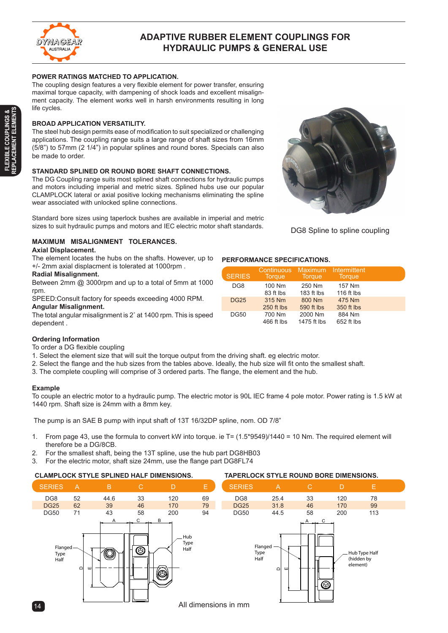

### **Adaptive RUBBER ELEMENT COUPLINGS FOR HYDRAULIC PUMPS & GENERAL USE**

#### **POWER RATINGS MATCHED TO APPLICATION.**

The coupling design features a very flexible element for power transfer, ensuring maximal torque capacity, with dampening of shock loads and excellent misalignment capacity. The element works well in harsh environments resulting in long life cycles.

#### **BROAD APPLICATION VERSATILITY.**

The steel hub design permits ease of modification to suit specialized or challenging applications. The coupling range suits a large range of shaft sizes from 16mm (5/8") to 57mm (2 1/4") in popular splines and round bores. Specials can also be made to order.

#### **STANDARD SPLINED OR ROUND BORE SHAFT CONNECTIONS.**

The DG Coupling range suits most splined shaft connections for hydraulic pumps and motors including imperial and metric sizes. Splined hubs use our popular CLAMPLOCK lateral or axial positive locking mechanisms eliminating the spline wear associated with unlocked spline connections.

Standard bore sizes using taperlock bushes are available in imperial and metric sizes to suit hydraulic pumps and motors and IEC electric motor shaft standards.



DG8 Spline to spline coupling

### **MAXIMUM MISALIGNMENT TOLERANCES.**

#### **Axial Displacement.**

The element locates the hubs on the shafts. However, up to +/- 2mm axial displacment is tolerated at 1000rpm .

#### **Radial Misalignment.**

Between 2mm @ 3000rpm and up to a total of 5mm at 1000 rpm.

SPEED:Consult factory for speeds exceeding 4000 RPM. **Angular Misalignment.**

The total angular misalignment is 2˚ at 1400 rpm. This is speed dependent .



| <b>SERIES</b> | Continuous<br><b>Torque</b> | Maximum<br><b>Torque</b> | Intermittent<br><b>Torque</b> |  |
|---------------|-----------------------------|--------------------------|-------------------------------|--|
| DG8           | 100 Nm<br>83 ft lbs         | 250 Nm<br>183 ft lbs     | 157 Nm<br>116 ft lbs          |  |
| <b>DG25</b>   | 315 Nm<br>250 ft lbs        | 800 Nm<br>590 ft lbs     | 475 Nm<br>350 ft lbs          |  |
| <b>DG50</b>   | 700 Nm<br>466 ft lbs        | 2000 Nm<br>1475 ft lbs   | 884 Nm<br>652 ft lbs          |  |

#### **Ordering Information**

To order a DG flexible coupling

- 1. Select the element size that will suit the torque output from the driving shaft. eg electric motor.
- 2. Select the flange and the hub sizes from the tables above. Ideally, the hub size will fit onto the smallest shaft.
- 3. The complete coupling will comprise of 3 ordered parts. The flange, the element and the hub.

#### **Example**

To couple an electric motor to a hydraulic pump. The electric motor is 90L IEC frame 4 pole motor. Power rating is 1.5 kW at the couple 1440 rpm. Shaft size is 24mm with a 8mm key.

The pump is an SAE B pump with input shaft of 13T 16/32DP spline, nom. OD 7/8"

- From page 43, use the formula to convert kW into torque. ie T= (1.5\*9549)/1440 = 10 Nm. The required element will therefore be a DG/8CB. 1. Half
- For the smallest shaft, being the 13T spline, use the hub part DG8HB03 2.
- For the electric motor, shaft size 24mm, use the flange part DG8FL74 3.